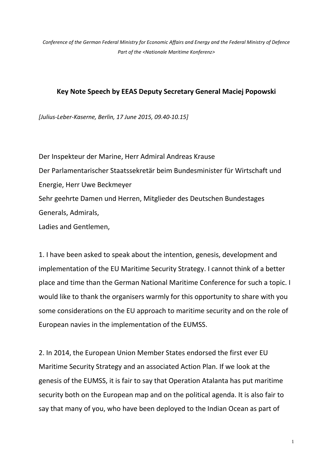*Conference of the German Federal Ministry for Economic Affairs and Energy and the Federal Ministry of Defence Part of the <Nationale Maritime Konferenz>*

## **Key Note Speech by EEAS Deputy Secretary General Maciej Popowski**

*[Julius-Leber-Kaserne, Berlin, 17 June 2015, 09.40-10.15]*

Der Inspekteur der Marine, Herr Admiral Andreas Krause Der Parlamentarischer Staatssekretär beim Bundesminister für Wirtschaft und Energie, Herr Uwe Beckmeyer Sehr geehrte Damen und Herren, Mitglieder des Deutschen Bundestages Generals, Admirals, Ladies and Gentlemen,

1. I have been asked to speak about the intention, genesis, development and implementation of the EU Maritime Security Strategy. I cannot think of a better place and time than the German National Maritime Conference for such a topic. I would like to thank the organisers warmly for this opportunity to share with you some considerations on the EU approach to maritime security and on the role of European navies in the implementation of the EUMSS.

2. In 2014, the European Union Member States endorsed the first ever EU Maritime Security Strategy and an associated Action Plan. If we look at the genesis of the EUMSS, it is fair to say that Operation Atalanta has put maritime security both on the European map and on the political agenda. It is also fair to say that many of you, who have been deployed to the Indian Ocean as part of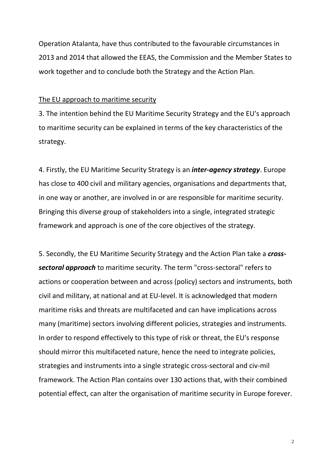Operation Atalanta, have thus contributed to the favourable circumstances in 2013 and 2014 that allowed the EEAS, the Commission and the Member States to work together and to conclude both the Strategy and the Action Plan.

## The EU approach to maritime security

3. The intention behind the EU Maritime Security Strategy and the EU's approach to maritime security can be explained in terms of the key characteristics of the strategy.

4. Firstly, the EU Maritime Security Strategy is an *inter-agency strategy*. Europe has close to 400 civil and military agencies, organisations and departments that, in one way or another, are involved in or are responsible for maritime security. Bringing this diverse group of stakeholders into a single, integrated strategic framework and approach is one of the core objectives of the strategy.

5. Secondly, the EU Maritime Security Strategy and the Action Plan take a *crosssectoral approach* to maritime security. The term "cross-sectoral" refers to actions or cooperation between and across (policy) sectors and instruments, both civil and military, at national and at EU-level. It is acknowledged that modern maritime risks and threats are multifaceted and can have implications across many (maritime) sectors involving different policies, strategies and instruments. In order to respond effectively to this type of risk or threat, the EU's response should mirror this multifaceted nature, hence the need to integrate policies, strategies and instruments into a single strategic cross-sectoral and civ-mil framework. The Action Plan contains over 130 actions that, with their combined potential effect, can alter the organisation of maritime security in Europe forever.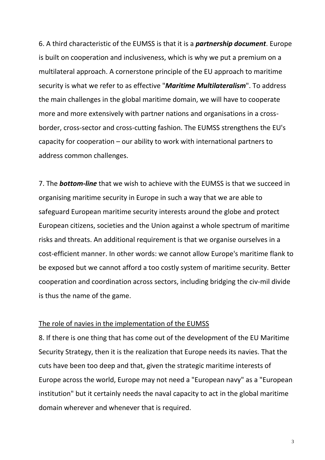6. A third characteristic of the EUMSS is that it is a *partnership document*. Europe is built on cooperation and inclusiveness, which is why we put a premium on a multilateral approach. A cornerstone principle of the EU approach to maritime security is what we refer to as effective "*Maritime Multilateralism*". To address the main challenges in the global maritime domain, we will have to cooperate more and more extensively with partner nations and organisations in a crossborder, cross-sector and cross-cutting fashion. The EUMSS strengthens the EU's capacity for cooperation – our ability to work with international partners to address common challenges.

7. The *bottom-line* that we wish to achieve with the EUMSS is that we succeed in organising maritime security in Europe in such a way that we are able to safeguard European maritime security interests around the globe and protect European citizens, societies and the Union against a whole spectrum of maritime risks and threats. An additional requirement is that we organise ourselves in a cost-efficient manner. In other words: we cannot allow Europe's maritime flank to be exposed but we cannot afford a too costly system of maritime security. Better cooperation and coordination across sectors, including bridging the civ-mil divide is thus the name of the game.

## The role of navies in the implementation of the EUMSS

8. If there is one thing that has come out of the development of the EU Maritime Security Strategy, then it is the realization that Europe needs its navies. That the cuts have been too deep and that, given the strategic maritime interests of Europe across the world, Europe may not need a "European navy" as a "European institution" but it certainly needs the naval capacity to act in the global maritime domain wherever and whenever that is required.

3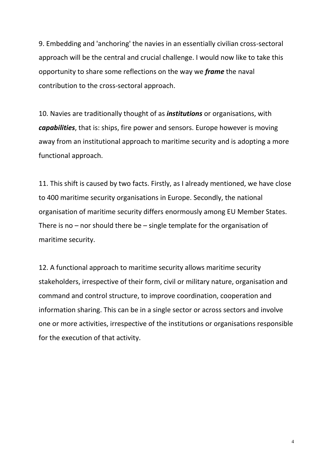9. Embedding and 'anchoring' the navies in an essentially civilian cross-sectoral approach will be the central and crucial challenge. I would now like to take this opportunity to share some reflections on the way we *frame* the naval contribution to the cross-sectoral approach.

10. Navies are traditionally thought of as *institutions* or organisations, with *capabilities*, that is: ships, fire power and sensors. Europe however is moving away from an institutional approach to maritime security and is adopting a more functional approach.

11. This shift is caused by two facts. Firstly, as I already mentioned, we have close to 400 maritime security organisations in Europe. Secondly, the national organisation of maritime security differs enormously among EU Member States. There is no – nor should there be – single template for the organisation of maritime security.

12. A functional approach to maritime security allows maritime security stakeholders, irrespective of their form, civil or military nature, organisation and command and control structure, to improve coordination, cooperation and information sharing. This can be in a single sector or across sectors and involve one or more activities, irrespective of the institutions or organisations responsible for the execution of that activity.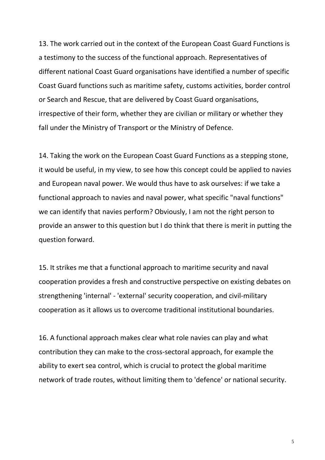13. The work carried out in the context of the European Coast Guard Functions is a testimony to the success of the functional approach. Representatives of different national Coast Guard organisations have identified a number of specific Coast Guard functions such as maritime safety, customs activities, border control or Search and Rescue, that are delivered by Coast Guard organisations, irrespective of their form, whether they are civilian or military or whether they fall under the Ministry of Transport or the Ministry of Defence.

14. Taking the work on the European Coast Guard Functions as a stepping stone, it would be useful, in my view, to see how this concept could be applied to navies and European naval power. We would thus have to ask ourselves: if we take a functional approach to navies and naval power, what specific "naval functions" we can identify that navies perform? Obviously, I am not the right person to provide an answer to this question but I do think that there is merit in putting the question forward.

15. It strikes me that a functional approach to maritime security and naval cooperation provides a fresh and constructive perspective on existing debates on strengthening 'internal' - 'external' security cooperation, and civil-military cooperation as it allows us to overcome traditional institutional boundaries.

16. A functional approach makes clear what role navies can play and what contribution they can make to the cross-sectoral approach, for example the ability to exert sea control, which is crucial to protect the global maritime network of trade routes, without limiting them to 'defence' or national security.

5